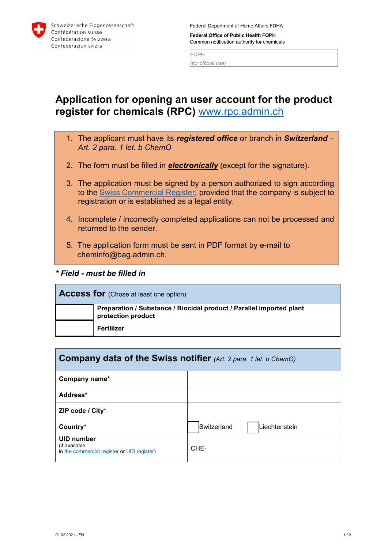

Federal Department of Home Affairs FDHA

**Federal Office of Public Health FOPH** Common notification authority for chemicals

FOPH *(for official use)*

## **Application for opening an user account for the product register for chemicals (RPC)** [www.rpc.admin.ch](http://www.rpc.admin.ch/)

- 1. The applicant must have its *registered office* or branch in *Switzerland Art. 2 para. 1 let. b ChemO*
- 2. The form must be filled in *electronically* (except for the signature).
- 3. The application must be signed by a person authorized to sign according to the [Swiss Commercial Register,](https://www.zefix.admin.ch/en/search/entity/welcome) provided that the company is subject to registration or is established as a legal entity.
- 4. Incomplete / incorrectly completed applications can not be processed and returned to the sender.
- 5. The application form must be sent in PDF format by e-mail to cheminfo@bag.admin.ch.
- *\* Field must be filled in*

| <b>Access for</b> (Chose at least one option) |                                                                                            |  |
|-----------------------------------------------|--------------------------------------------------------------------------------------------|--|
|                                               | Preparation / Substance / Biocidal product / Parallel imported plant<br>protection product |  |
|                                               | Fertilizer                                                                                 |  |

| <b>Company data of the Swiss notifier</b> (Art. 2 para. 1 let. b ChemO)     |                                     |  |  |
|-----------------------------------------------------------------------------|-------------------------------------|--|--|
| Company name*                                                               |                                     |  |  |
| Address*                                                                    |                                     |  |  |
| ZIP code / City*                                                            |                                     |  |  |
| Country*                                                                    | Switzerland<br><b>Liechtenstein</b> |  |  |
| UID number<br>(if available)<br>in the commercial register or UID register) | CHE-                                |  |  |